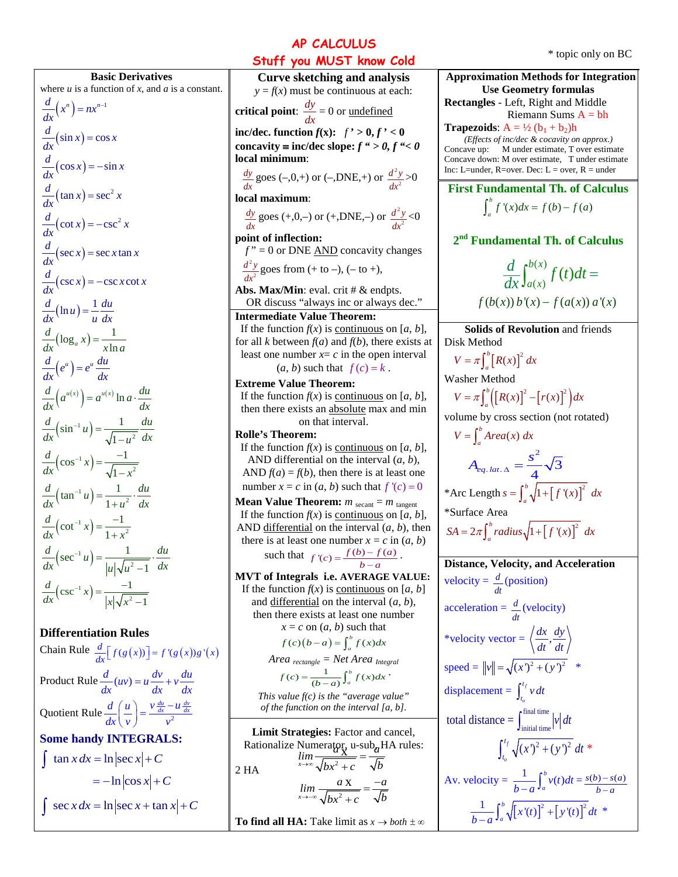## **AP CALCULUS**

**Basic Derivatives** where  $u$  is a function of  $x$ , and  $a$  is a constant.  $\frac{d}{dx}(x^n) = nx^{n-1}$  $=nx^{n-1}$  $\frac{d}{dx}(\sin x) = \cos x$  $\frac{d}{dx}(\cos x) = -\sin x$  $\frac{d}{dx}(\tan x) = \sec^2 x$  $\frac{d}{dx}(\cot x) = -\csc^2 x$  $\frac{d}{dx}(\sec x) = \sec x \tan x$  $\frac{d}{dx}(\csc x) = -\csc x \cot x$  $\frac{d}{dx}(\ln u) = \frac{1}{u} \frac{du}{dx}$  $\frac{d}{dx}(\log_a x) = \frac{1}{x \ln a}$  $\frac{d}{dx}(e^u) = e^u \frac{du}{dx}$  $\frac{d}{dx}\left( a^{u(x)} \right) = a^{u(x)} \ln a \cdot \frac{du}{dx}$  $\left(\sin^{-1} u\right) = \frac{1}{\sqrt{1 - u^2}}$ 1  $\frac{d}{dx}(\sin^{-1} u) = \frac{1}{\sqrt{1-u^2}} \frac{du}{dx}$  $^{-1}u) =$ −  $\left(\cos^{-1} x\right) = \frac{-1}{\sqrt{1-x^2}}$  $\cos^{-1} x = \frac{-1}{\sqrt{1-x^2}}$ 1  $\frac{d}{dx}$   $\left(\cos^{-1} x\right) = \frac{-1}{\sqrt{1-x}}$  $\left(\tan^{-1} u\right) = \frac{1}{1 + u^2}$  $\tan^{-1} u = \frac{1}{1 + i}$  $\frac{d}{dx}$  $\left(\tan^{-1} u\right) = \frac{1}{1+u^2} \cdot \frac{du}{dx}$  $\left(\cot^{-1} x\right) = \frac{-1}{1+x^2}$  $\cot^{-1} x = \frac{-1}{1+x}$  $\frac{d}{dx}$   $\left(\cot^{-1} x\right) = \frac{-1}{1+x}$  $\left( \sec^{-1} u \right) = \frac{1}{|u| \sqrt{u^2}}$  $sec^{-1} u = \frac{1}{1 + \sqrt{1}}$ 1  $\frac{d}{dx}(\sec^{-1} u) = \frac{1}{|u|\sqrt{u^2-1}} \cdot \frac{du}{dx}$  $\left( -1, u \right) = \frac{1}{\sqrt{2\pi}}$ −  $\frac{d}{dx}(\csc^{-1} x) = \frac{-1}{|x|\sqrt{x^2-1}}$ 

**Differentiation Rules** Chain Rule  $\frac{d}{dx} [ f(g(x))] = f'(g(x))g'(x)$ Product Rule  $\frac{d}{dx}(uv) = u\frac{dv}{dx} + v\frac{du}{dx}$  $= u \frac{uv}{u} +$ Quotient Rule  $\frac{d}{dx} \left( \frac{u}{v} \right) = \frac{v \frac{du}{dx} - u \frac{dv}{dx}}{v^2}$  $rac{d}{dx}\left(\frac{u}{v}\right) = \frac{v\frac{du}{dx} - v^2}{v^2}$ **Some handy INTEGRALS:**  $\int \tan x dx = \ln |\sec x| + C$  $=-\ln|\cos x| + C$  $\int \sec x dx = \ln |\sec x + \tan x| + C$ 

 $\lim_{x\to\infty} \frac{\arg x}{\sqrt{bx^2+c}} = \frac{du}{\sqrt{b}}$  $\lim_{x\to\infty} \frac{a\mathbf{X}}{\sqrt{\mathbf{h}\mathbf{x}^2 + c}} = \frac{-a}{\sqrt{\mathbf{h}}}$  $\lim_{x\to\infty} \frac{a x}{\sqrt{bx^2+c}} = \frac{a}{\sqrt{b}}$  $\lim_{x\to\infty} \frac{a\mathbf{X}}{\sqrt{bx^2+c}} = \frac{-a}{\sqrt{b}}$ **Curve sketching and analysis**  $y = f(x)$  must be continuous at each: **critical point:**  $\frac{dy}{dx} = 0$  or <u>undefined</u> **inc/dec. function**  $f(x)$ :  $f' > 0, f' < 0$ **concavity**  $\equiv$  **inc/dec slope:**  $f'' > 0, f'' < 0$ **local minimum**:  $\frac{dy}{dx}$  goes (-,0,+) or (-,DNE,+) or  $\frac{d^2y}{dx^2}$  $\frac{dy}{dx^2} > 0$ **local maximum**:  $\frac{dy}{dx}$  goes (+,0,–) or (+,DNE,–) or  $\frac{d^2y}{dx^2}$  $\frac{d^2y}{dx^2}$  < 0 **point of inflection:**  $f'' = 0$  or DNE  $\overline{AND}$  concavity changes 2  $\frac{d^2y}{dx^2}$  goes from (+ to –), (– to +), *dx* **Abs. Max/Min**: eval. crit # & endpts. OR discuss "always inc or always dec." **Intermediate Value Theorem:** If the function  $f(x)$  is <u>continuous</u> on [*a*, *b*], for all *k* between  $f(a)$  and  $f(b)$ , there exists at least one number  $x = c$  in the open interval  $(a, b)$  such that  $f(c) = k$ . **Extreme Value Theorem:** If the function  $f(x)$  is <u>continuous</u> on [*a*, *b*], then there exists an absolute max and min on that interval. **Rolle's Theorem:** If the function  $f(x)$  is continuous on [a, b], AND differential on the interval (*a*, *b*), AND  $f(a) = f(b)$ , then there is at least one number  $x = c$  in  $(a, b)$  such that  $f'(c) = 0$ **Mean Value Theorem:**  $m_{\text{secant}} = m_{\text{tangent}}$ If the function  $f(x)$  is <u>continuous</u> on [*a*, *b*], AND differential on the interval (*a*, *b*), then there is at least one number  $x = c$  in  $(a, b)$ such that  $f'(c) = \frac{f(b) - f(a)}{b - a}$ . **MVT of Integrals i.e. AVERAGE VALUE:** If the function  $f(x)$  is <u>continuous</u> on [*a*, *b*] and differential on the interval (*a*, *b*), then there exists at least one number  $x = c$  on  $(a, b)$  such that  $f(c) (b-a) = \int_a^b f(x) dx$ *Area rectangle = Net Area Integral*  $f(c) = \frac{1}{(b-a)} \int_a^b f(x) dx$ *This value f(c) is the "average value" of the function on the interval [a, b].* Limit Strategies: Factor and cancel, Rationalize Numerator, u-sub<sub>a</sub> HA rules:<br> $lim \frac{X}{X} = \frac{1}{X}$ 2 HA **To find all HA:** Take limit as  $x \rightarrow both \pm \infty$ 

**Stuff you MUST know Cold** \* topic only on BC **Approximation Methods for Integration Use Geometry formulas Rectangles** - Left, Right and Middle Riemann Sums  $A = bh$ **Trapezoids:**  $A = \frac{1}{2}(b_1 + b_2)h$ *(Effects of inc/dec & cocavity on approx.)* Concave up: M under estimate, T over estimate Concave down: M over estimate, T under estimate Inc: L=under, R=over. Dec: L = over,  $R =$ under **First Fundamental Th. of Calculus**  $\int_{a}^{b} f'(x) dx = f(b) - f(a)$ **2nd Fundamental Th. of Calculus**  $\left( x\right)$  $_{a(x)}^{b(x)}f(t)$  $f(b(x)) b'(x) - f(a(x)) a'(x)$  $\frac{d}{dx}\int_{a(x)}^{b(x)}f(t)dt =$ **Solids of Revolution** and friends Disk Method  $V = \pi \int_{a}^{b} [R(x)]^{2} dx$ Washer Method  $V = \pi \int_{a}^{b} \left( \left[ R(x) \right]^{2} - \left[ r(x) \right]^{2} \right) dx$ volume by cross section (not rotated)  $V = \int_a^b Area(x) dx$  $\mathbf{c}^2$  $A_{eq. lat.\,\Delta} = \frac{s^2}{4}\sqrt{3}$ \*Arc Length  $s = \int_a^b \sqrt{1 + [f'(x)]^2} dx$ \*Surface Area  $SA = 2\pi \int_{a}^{b} radius \sqrt{1 + [f'(x)]^{2}} dx$ **Distance, Velocity, and Acceleration** velocity =  $\frac{d}{dx}$ *dt* (position) acceleration = *<sup>d</sup> dt* (velocity) \*velocity vector =  $\left\langle \frac{dx}{dt}, \frac{dy}{dt} \right\rangle$  $speed = ||v|| = \sqrt{(x')^2 + (y')^2}$  \* displacement =  $\int_{t_o}^{t_f}$  $\int_{t_o}^{t_f} v \, dt$ final time total distance  $= \int_{initial \, time} |v| dt$  $f_{f}\sqrt{(x')^{2}+(y')^{2}} dt$  \* *o*  $\int_{t_0}^{t} \sqrt{(x')^2 + (y')^2} dt$ Av. velocity =  $\frac{1}{b-a} \int_a^b v(t) dt = \frac{s(b) - s(a)}{b-a}$ −

−

 $\frac{1}{b-a} \int_a^b \sqrt{[x'(t)]^2 + [y'(t)]^2} dt$  \*